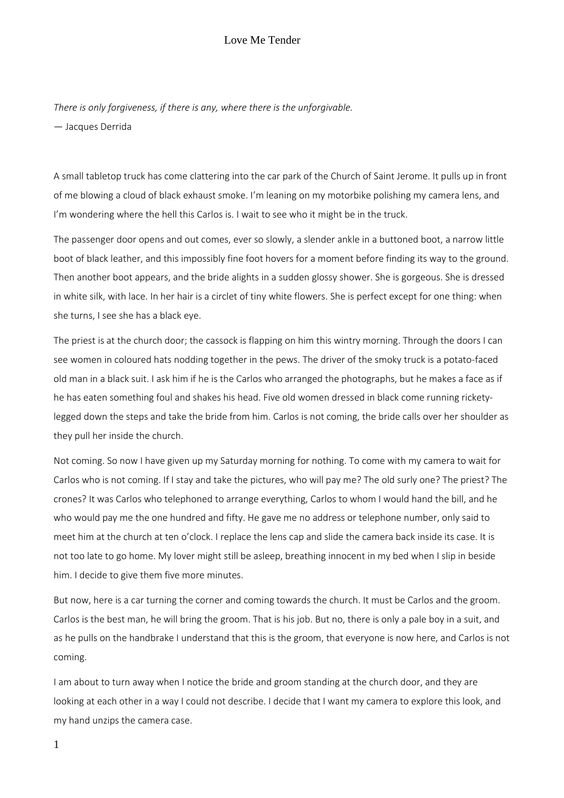*There is only forgiveness, if there is any, where there is the unforgivable.* — Jacques Derrida

A small tabletop truck has come clattering into the car park of the Church of Saint Jerome. It pulls up in front of me blowing a cloud of black exhaust smoke. I'm leaning on my motorbike polishing my camera lens, and I'm wondering where the hell this Carlos is. I wait to see who it might be in the truck.

The passenger door opens and out comes, ever so slowly, a slender ankle in a buttoned boot, a narrow little boot of black leather, and this impossibly fine foot hovers for a moment before finding its way to the ground. Then another boot appears, and the bride alights in a sudden glossy shower. She is gorgeous. She is dressed in white silk, with lace. In her hair is a circlet of tiny white flowers. She is perfect except for one thing: when she turns, I see she has a black eye.

The priest is at the church door; the cassock is flapping on him this wintry morning. Through the doors I can see women in coloured hats nodding together in the pews. The driver of the smoky truck is a potato-faced old man in a black suit. I ask him if he is the Carlos who arranged the photographs, but he makes a face as if he has eaten something foul and shakes his head. Five old women dressed in black come running ricketylegged down the steps and take the bride from him. Carlos is not coming, the bride calls over her shoulder as they pull her inside the church.

Not coming. So now I have given up my Saturday morning for nothing. To come with my camera to wait for Carlos who is not coming. If I stay and take the pictures, who will pay me? The old surly one? The priest? The crones? It was Carlos who telephoned to arrange everything, Carlos to whom I would hand the bill, and he who would pay me the one hundred and fifty. He gave me no address or telephone number, only said to meet him at the church at ten o'clock. I replace the lens cap and slide the camera back inside its case. It is not too late to go home. My lover might still be asleep, breathing innocent in my bed when I slip in beside him. I decide to give them five more minutes.

But now, here is a car turning the corner and coming towards the church. It must be Carlos and the groom. Carlos is the best man, he will bring the groom. That is his job. But no, there is only a pale boy in a suit, and as he pulls on the handbrake I understand that this is the groom, that everyone is now here, and Carlos is not coming.

I am about to turn away when I notice the bride and groom standing at the church door, and they are looking at each other in a way I could not describe. I decide that I want my camera to explore this look, and my hand unzips the camera case.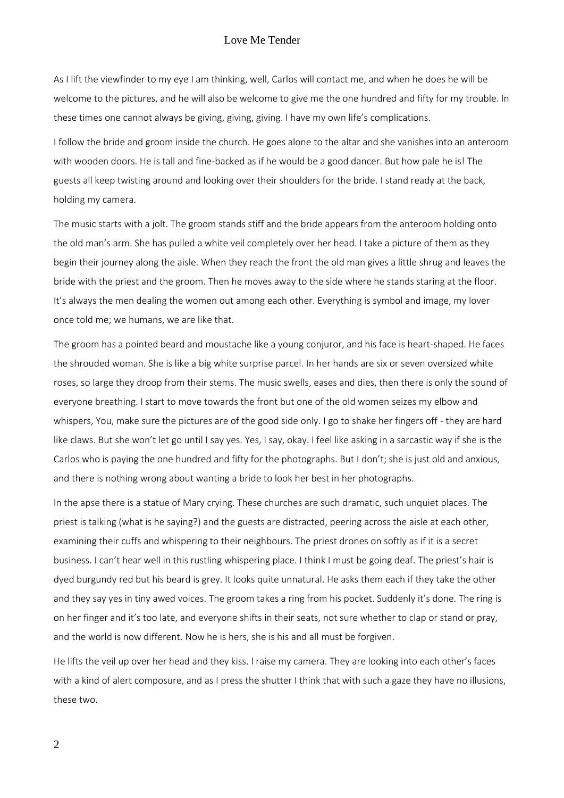As I lift the viewfinder to my eye I am thinking, well, Carlos will contact me, and when he does he will be welcome to the pictures, and he will also be welcome to give me the one hundred and fifty for my trouble. In these times one cannot always be giving, giving, giving. I have my own life's complications.

I follow the bride and groom inside the church. He goes alone to the altar and she vanishes into an anteroom with wooden doors. He is tall and fine-backed as if he would be a good dancer. But how pale he is! The guests all keep twisting around and looking over their shoulders for the bride. I stand ready at the back, holding my camera.

The music starts with a jolt. The groom stands stiff and the bride appears from the anteroom holding onto the old man's arm. She has pulled a white veil completely over her head. I take a picture of them as they begin their journey along the aisle. When they reach the front the old man gives a little shrug and leaves the bride with the priest and the groom. Then he moves away to the side where he stands staring at the floor. It's always the men dealing the women out among each other. Everything is symbol and image, my lover once told me; we humans, we are like that.

The groom has a pointed beard and moustache like a young conjuror, and his face is heart-shaped. He faces the shrouded woman. She is like a big white surprise parcel. In her hands are six or seven oversized white roses, so large they droop from their stems. The music swells, eases and dies, then there is only the sound of everyone breathing. I start to move towards the front but one of the old women seizes my elbow and whispers, You, make sure the pictures are of the good side only. I go to shake her fingers off - they are hard like claws. But she won't let go until I say yes. Yes, I say, okay. I feel like asking in a sarcastic way if she is the Carlos who is paying the one hundred and fifty for the photographs. But I don't; she is just old and anxious, and there is nothing wrong about wanting a bride to look her best in her photographs.

In the apse there is a statue of Mary crying. These churches are such dramatic, such unquiet places. The priest is talking (what is he saying?) and the guests are distracted, peering across the aisle at each other, examining their cuffs and whispering to their neighbours. The priest drones on softly as if it is a secret business. I can't hear well in this rustling whispering place. I think I must be going deaf. The priest's hair is dyed burgundy red but his beard is grey. It looks quite unnatural. He asks them each if they take the other and they say yes in tiny awed voices. The groom takes a ring from his pocket. Suddenly it's done. The ring is on her finger and it's too late, and everyone shifts in their seats, not sure whether to clap or stand or pray, and the world is now different. Now he is hers, she is his and all must be forgiven.

He lifts the veil up over her head and they kiss. I raise my camera. They are looking into each other's faces with a kind of alert composure, and as I press the shutter I think that with such a gaze they have no illusions, these two.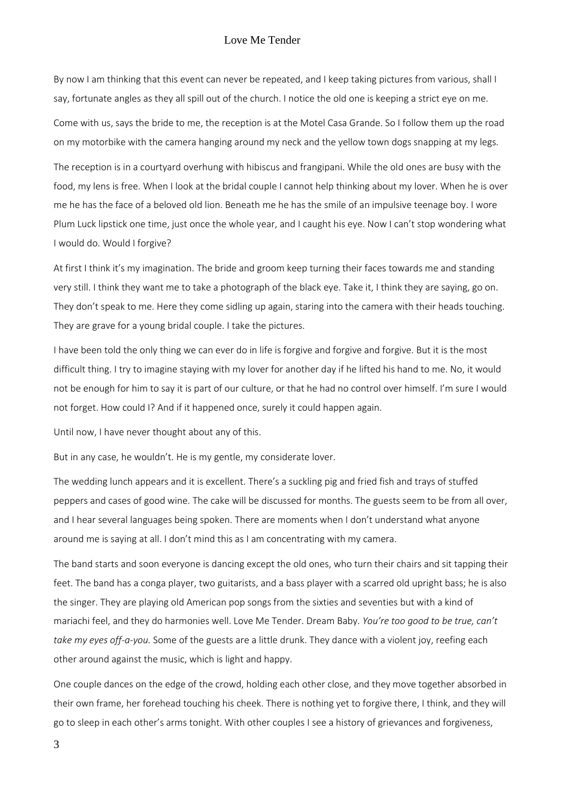By now I am thinking that this event can never be repeated, and I keep taking pictures from various, shall I say, fortunate angles as they all spill out of the church. I notice the old one is keeping a strict eye on me.

Come with us, says the bride to me, the reception is at the Motel Casa Grande. So I follow them up the road on my motorbike with the camera hanging around my neck and the yellow town dogs snapping at my legs.

The reception is in a courtyard overhung with hibiscus and frangipani. While the old ones are busy with the food, my lens is free. When I look at the bridal couple I cannot help thinking about my lover. When he is over me he has the face of a beloved old lion. Beneath me he has the smile of an impulsive teenage boy. I wore Plum Luck lipstick one time, just once the whole year, and I caught his eye. Now I can't stop wondering what I would do. Would I forgive?

At first I think it's my imagination. The bride and groom keep turning their faces towards me and standing very still. I think they want me to take a photograph of the black eye. Take it, I think they are saying, go on. They don't speak to me. Here they come sidling up again, staring into the camera with their heads touching. They are grave for a young bridal couple. I take the pictures.

I have been told the only thing we can ever do in life is forgive and forgive and forgive. But it is the most difficult thing. I try to imagine staying with my lover for another day if he lifted his hand to me. No, it would not be enough for him to say it is part of our culture, or that he had no control over himself. I'm sure I would not forget. How could I? And if it happened once, surely it could happen again.

Until now, I have never thought about any of this.

But in any case, he wouldn't. He is my gentle, my considerate lover.

The wedding lunch appears and it is excellent. There's a suckling pig and fried fish and trays of stuffed peppers and cases of good wine. The cake will be discussed for months. The guests seem to be from all over, and I hear several languages being spoken. There are moments when I don't understand what anyone around me is saying at all. I don't mind this as I am concentrating with my camera.

The band starts and soon everyone is dancing except the old ones, who turn their chairs and sit tapping their feet. The band has a conga player, two guitarists, and a bass player with a scarred old upright bass; he is also the singer. They are playing old American pop songs from the sixties and seventies but with a kind of mariachi feel, and they do harmonies well. Love Me Tender. Dream Baby. *You're too good to be true, can't take my eyes off-a-you.* Some of the guests are a little drunk. They dance with a violent joy, reefing each other around against the music, which is light and happy.

One couple dances on the edge of the crowd, holding each other close, and they move together absorbed in their own frame, her forehead touching his cheek. There is nothing yet to forgive there, I think, and they will go to sleep in each other's arms tonight. With other couples I see a history of grievances and forgiveness,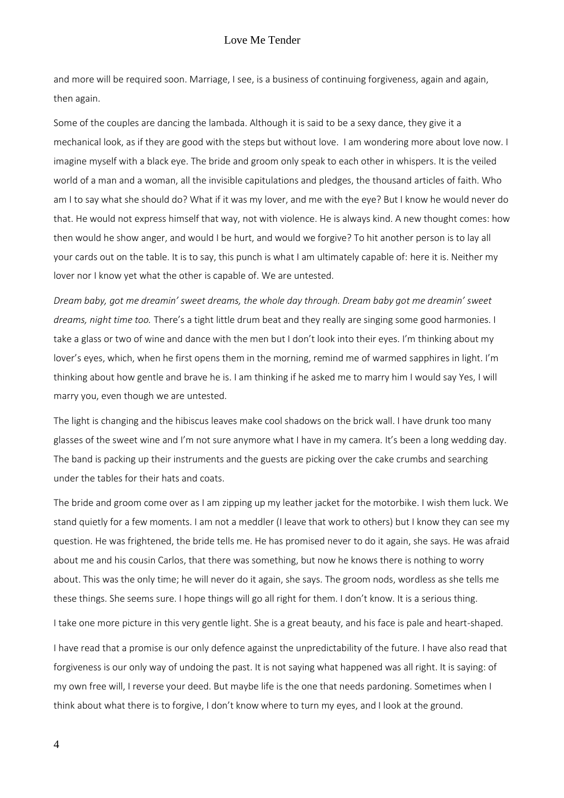and more will be required soon. Marriage, I see, is a business of continuing forgiveness, again and again, then again.

Some of the couples are dancing the lambada. Although it is said to be a sexy dance, they give it a mechanical look, as if they are good with the steps but without love. I am wondering more about love now. I imagine myself with a black eye. The bride and groom only speak to each other in whispers. It is the veiled world of a man and a woman, all the invisible capitulations and pledges, the thousand articles of faith. Who am I to say what she should do? What if it was my lover, and me with the eye? But I know he would never do that. He would not express himself that way, not with violence. He is always kind. A new thought comes: how then would he show anger, and would I be hurt, and would we forgive? To hit another person is to lay all your cards out on the table. It is to say, this punch is what I am ultimately capable of: here it is. Neither my lover nor I know yet what the other is capable of. We are untested.

*Dream baby, got me dreamin' sweet dreams, the whole day through. Dream baby got me dreamin' sweet dreams, night time too.* There's a tight little drum beat and they really are singing some good harmonies. I take a glass or two of wine and dance with the men but I don't look into their eyes. I'm thinking about my lover's eyes, which, when he first opens them in the morning, remind me of warmed sapphires in light. I'm thinking about how gentle and brave he is. I am thinking if he asked me to marry him I would say Yes, I will marry you, even though we are untested.

The light is changing and the hibiscus leaves make cool shadows on the brick wall. I have drunk too many glasses of the sweet wine and I'm not sure anymore what I have in my camera. It's been a long wedding day. The band is packing up their instruments and the guests are picking over the cake crumbs and searching under the tables for their hats and coats.

The bride and groom come over as I am zipping up my leather jacket for the motorbike. I wish them luck. We stand quietly for a few moments. I am not a meddler (I leave that work to others) but I know they can see my question. He was frightened, the bride tells me. He has promised never to do it again, she says. He was afraid about me and his cousin Carlos, that there was something, but now he knows there is nothing to worry about. This was the only time; he will never do it again, she says. The groom nods, wordless as she tells me these things. She seems sure. I hope things will go all right for them. I don't know. It is a serious thing.

I take one more picture in this very gentle light. She is a great beauty, and his face is pale and heart-shaped.

I have read that a promise is our only defence against the unpredictability of the future. I have also read that forgiveness is our only way of undoing the past. It is not saying what happened was all right. It is saying: of my own free will, I reverse your deed. But maybe life is the one that needs pardoning. Sometimes when I think about what there is to forgive, I don't know where to turn my eyes, and I look at the ground.